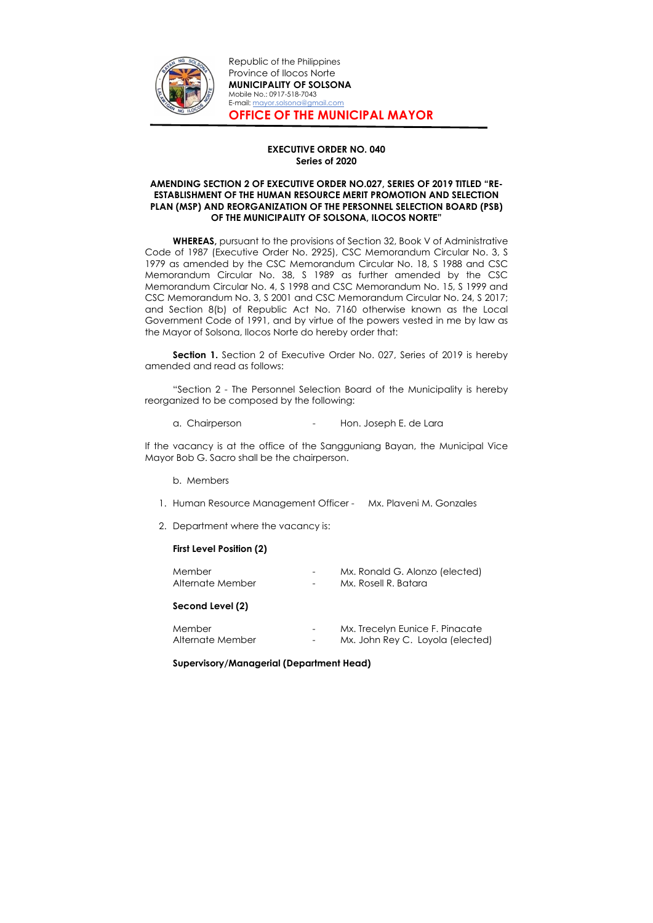

Republic of the Philippines Province of Ilocos Norte MUNICIPALITY OF SOLSONA Mobile No.: 0917-518-7043 E-mail: mayor.solsona@gmail.com OFFICE OF THE MUNICIPAL MAYOR

### EXECUTIVE ORDER NO. 040 Series of 2020

# AMENDING SECTION 2 OF EXECUTIVE ORDER NO.027, SERIES OF 2019 TITLED "RE-ESTABLISHMENT OF THE HUMAN RESOURCE MERIT PROMOTION AND SELECTION PLAN (MSP) AND REORGANIZATION OF THE PERSONNEL SELECTION BOARD (PSB) OF THE MUNICIPALITY OF SOLSONA, ILOCOS NORTE"

WHEREAS, pursuant to the provisions of Section 32, Book V of Administrative Code of 1987 (Executive Order No. 2925), CSC Memorandum Circular No. 3, S 1979 as amended by the CSC Memorandum Circular No. 18, S 1988 and CSC Memorandum Circular No. 38, S 1989 as further amended by the CSC Memorandum Circular No. 4, S 1998 and CSC Memorandum No. 15, S 1999 and CSC Memorandum No. 3, S 2001 and CSC Memorandum Circular No. 24, S 2017; and Section 8(b) of Republic Act No. 7160 otherwise known as the Local Government Code of 1991, and by virtue of the powers vested in me by law as the Mayor of Solsona, Ilocos Norte do hereby order that:

**Section 1.** Section 2 of Executive Order No. 027, Series of 2019 is hereby amended and read as follows:

"Section 2 - The Personnel Selection Board of the Municipality is hereby reorganized to be composed by the following:

a. Chairperson **- Hon. Joseph E. de Lara** 

If the vacancy is at the office of the Sangguniang Bayan, the Municipal Vice Mayor Bob G. Sacro shall be the chairperson.

- b. Members
- 1. Human Resource Management Officer Mx. Plaveni M. Gonzales
- 2. Department where the vacancy is:

# First Level Position (2)

| Member           | $\overline{\phantom{0}}$ | Mx. Ronald G. Alonzo (elected) |
|------------------|--------------------------|--------------------------------|
| Alternate Member | $\overline{\phantom{0}}$ | Mx. Rosell R. Batara           |

# Second Level (2)

| Member           | $\overline{\phantom{a}}$ | Mx. Trecelyn Eunice F. Pinacate  |
|------------------|--------------------------|----------------------------------|
| Alternate Member | $\overline{\phantom{0}}$ | Mx. John Rey C. Loyola (elected) |

### Supervisory/Managerial (Department Head)